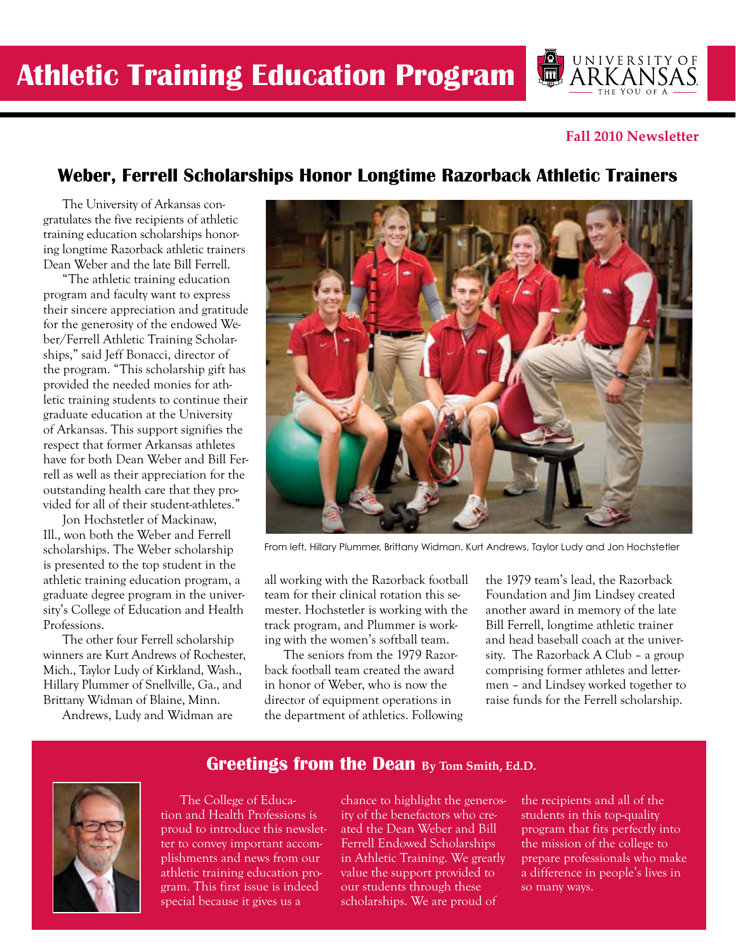

#### **Fall 2010 Newsletter**

## **Weber, Ferrell Scholarships Honor Longtime Razorback Athletic Trainers**

The University of Arkansas congratulates the five recipients of athletic training education scholarships honoring longtime Razorback athletic trainers Dean Weber and the late Bill Ferrell.

"The athletic training education program and faculty want to express their sincere appreciation and gratitude for the generosity of the endowed Weber/Ferrell Athletic Training Scholarships," said Jeff Bonacci, director of the program. "This scholarship gift has provided the needed monies for athletic training students to continue their graduate education at the University of Arkansas. This support signifies the respect that former Arkansas athletes have for both Dean Weber and Bill Ferrell as well as their appreciation for the outstanding health care that they provided for all of their student-athletes."

Jon Hochstetler of Mackinaw, Ill., won both the Weber and Ferrell scholarships. The Weber scholarship is presented to the top student in the athletic training education program, a graduate degree program in the university's College of Education and Health Professions.

The other four Ferrell scholarship winners are Kurt Andrews of Rochester, Mich., Taylor Ludy of Kirkland, Wash., Hillary Plummer of Snellville, Ga., and Brittany Widman of Blaine, Minn.

Andrews, Ludy and Widman are



From left, Hillary Plummer, Brittany Widman, Kurt Andrews, Taylor Ludy and Jon Hochstetler

all working with the Razorback football team for their clinical rotation this semester. Hochstetler is working with the track program, and Plummer is working with the women's softball team.

The seniors from the 1979 Razorback football team created the award in honor of Weber, who is now the director of equipment operations in the department of athletics. Following the 1979 team's lead, the Razorback Foundation and Jim Lindsey created another award in memory of the late Bill Ferrell, longtime athletic trainer and head baseball coach at the university. The Razorback A Club – a group comprising former athletes and lettermen – and Lindsey worked together to raise funds for the Ferrell scholarship.

#### **Greetings from the Dean By Tom Smith, Ed.D.**



The College of Education and Health Professions is proud to introduce this newsletter to convey important accomplishments and news from our athletic training education program. This first issue is indeed special because it gives us a

chance to highlight the generosity of the benefactors who created the Dean Weber and Bill Ferrell Endowed Scholarships in Athletic Training. We greatly value the support provided to our students through these scholarships. We are proud of

the recipients and all of the students in this top-quality program that fits perfectly into the mission of the college to prepare professionals who make a difference in people's lives in so many ways.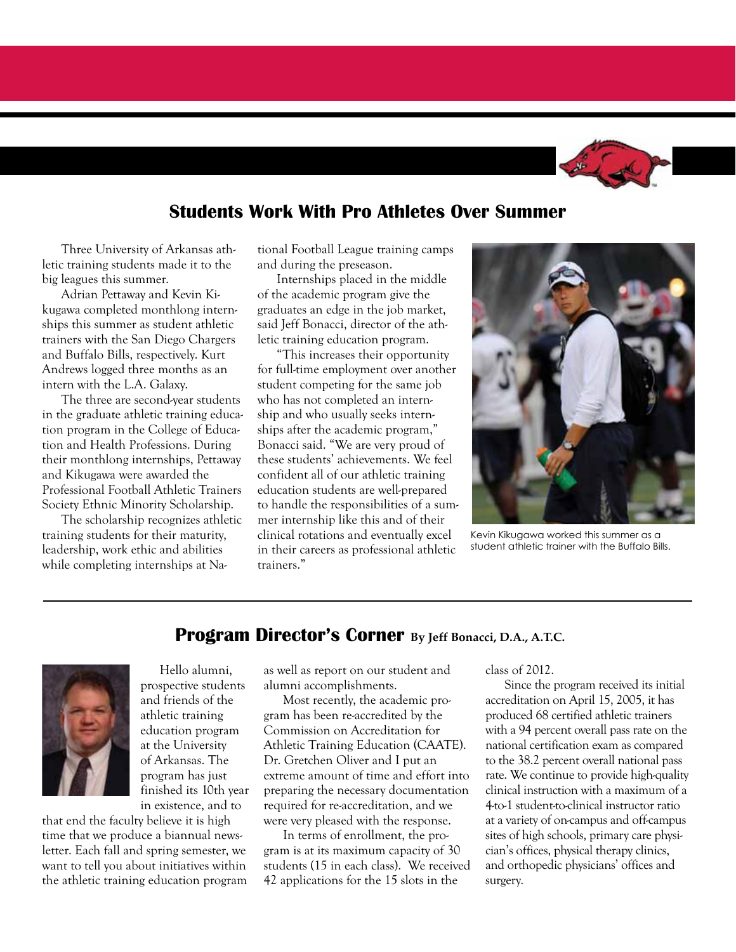

### **Students Work With Pro Athletes Over Summer**

Three University of Arkansas athletic training students made it to the big leagues this summer.

Adrian Pettaway and Kevin Kikugawa completed monthlong internships this summer as student athletic trainers with the San Diego Chargers and Buffalo Bills, respectively. Kurt Andrews logged three months as an intern with the L.A. Galaxy.

The three are second-year students in the graduate athletic training education program in the College of Education and Health Professions. During their monthlong internships, Pettaway and Kikugawa were awarded the Professional Football Athletic Trainers Society Ethnic Minority Scholarship.

The scholarship recognizes athletic training students for their maturity, leadership, work ethic and abilities while completing internships at National Football League training camps and during the preseason.

Internships placed in the middle of the academic program give the graduates an edge in the job market, said Jeff Bonacci, director of the athletic training education program.

"This increases their opportunity for full-time employment over another student competing for the same job who has not completed an internship and who usually seeks internships after the academic program," Bonacci said. "We are very proud of these students' achievements. We feel confident all of our athletic training education students are well-prepared to handle the responsibilities of a summer internship like this and of their clinical rotations and eventually excel in their careers as professional athletic trainers."



Kevin Kikugawa worked this summer as a student athletic trainer with the Buffalo Bills.

### **Program Director's Corner By Jeff Bonacci, D.A., A.T.C.**



Hello alumni, prospective students and friends of the athletic training education program at the University of Arkansas. The program has just finished its 10th year in existence, and to

that end the faculty believe it is high time that we produce a biannual newsletter. Each fall and spring semester, we want to tell you about initiatives within the athletic training education program as well as report on our student and alumni accomplishments.

Most recently, the academic program has been re-accredited by the Commission on Accreditation for Athletic Training Education (CAATE). Dr. Gretchen Oliver and I put an extreme amount of time and effort into preparing the necessary documentation required for re-accreditation, and we were very pleased with the response.

In terms of enrollment, the program is at its maximum capacity of 30 students (15 in each class). We received 42 applications for the 15 slots in the

class of 2012.

Since the program received its initial accreditation on April 15, 2005, it has produced 68 certified athletic trainers with a 94 percent overall pass rate on the national certification exam as compared to the 38.2 percent overall national pass rate. We continue to provide high-quality clinical instruction with a maximum of a 4-to-1 student-to-clinical instructor ratio at a variety of on-campus and off-campus sites of high schools, primary care physician's offices, physical therapy clinics, and orthopedic physicians' offices and surgery.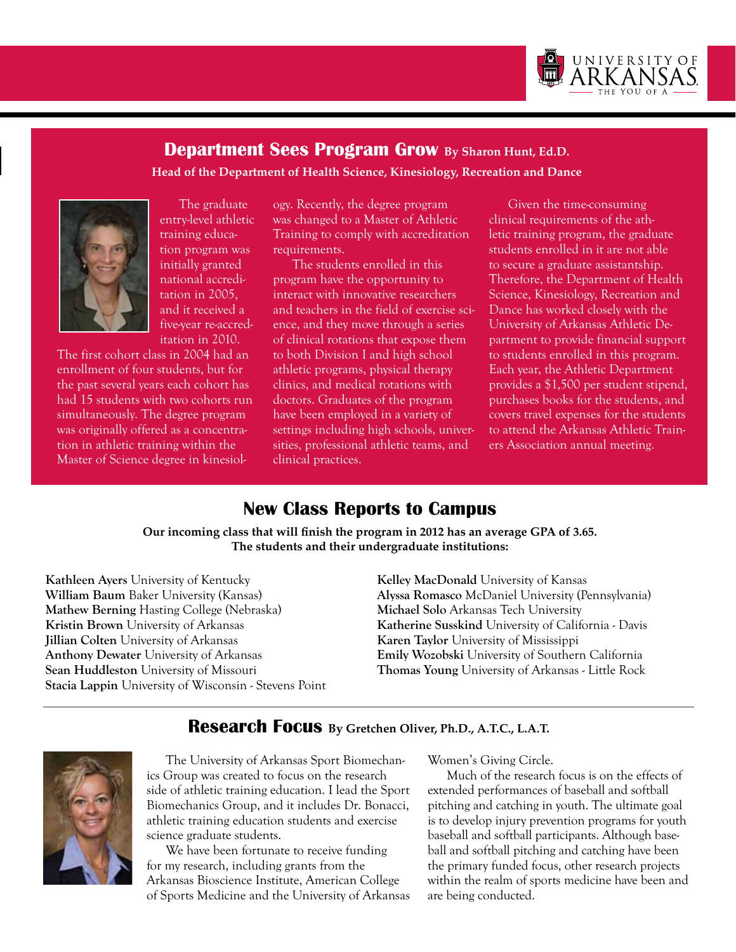

## **Head of the Department of Health Science, Kinesiology, Recreation and Dance Department Sees Program Grow By Sharon Hunt, Ed.D.**



The graduate entry-level athletic training education program was initially granted national accreditation in 2005, and it received a five-year re-accreditation in 2010.

The first cohort class in 2004 had an enrollment of four students, but for the past several years each cohort has had 15 students with two cohorts run simultaneously. The degree program was originally offered as a concentration in athletic training within the Master of Science degree in kinesiology. Recently, the degree program was changed to a Master of Athletic Training to comply with accreditation requirements.

The students enrolled in this program have the opportunity to interact with innovative researchers and teachers in the field of exercise science, and they move through a series of clinical rotations that expose them to both Division I and high school athletic programs, physical therapy clinics, and medical rotations with doctors. Graduates of the program have been employed in a variety of settings including high schools, universities, professional athletic teams, and clinical practices.

Given the time-consuming clinical requirements of the athletic training program, the graduate students enrolled in it are not able to secure a graduate assistantship. Therefore, the Department of Health Science, Kinesiology, Recreation and Dance has worked closely with the University of Arkansas Athletic Department to provide financial support to students enrolled in this program. Each year, the Athletic Department provides a \$1,500 per student stipend, purchases books for the students, and covers travel expenses for the students to attend the Arkansas Athletic Trainers Association annual meeting.

## **New Class Reports to Campus**

**Our incoming class that will finish the program in 2012 has an average GPA of 3.65. The students and their undergraduate institutions:**

**Kathleen Ayers** University of Kentucky **William Baum** Baker University (Kansas) **Mathew Berning** Hasting College (Nebraska) **Kristin Brown** University of Arkansas **Jillian Colten** University of Arkansas **Anthony Dewater** University of Arkansas **Sean Huddleston** University of Missouri **Stacia Lappin** University of Wisconsin - Stevens Point **Kelley MacDonald** University of Kansas **Alyssa Romasco** McDaniel University (Pennsylvania) **Michael Solo** Arkansas Tech University **Katherine Susskind** University of California - Davis **Karen Taylor** University of Mississippi **Emily Wozobski** University of Southern California **Thomas Young** University of Arkansas - Little Rock

#### **Research Focus By Gretchen Oliver, Ph.D., A.T.C., L.A.T.**



The University of Arkansas Sport Biomechanics Group was created to focus on the research side of athletic training education. I lead the Sport Biomechanics Group, and it includes Dr. Bonacci, athletic training education students and exercise science graduate students.

We have been fortunate to receive funding for my research, including grants from the Arkansas Bioscience Institute, American College of Sports Medicine and the University of Arkansas Women's Giving Circle.

Much of the research focus is on the effects of extended performances of baseball and softball pitching and catching in youth. The ultimate goal is to develop injury prevention programs for youth baseball and softball participants. Although baseball and softball pitching and catching have been the primary funded focus, other research projects within the realm of sports medicine have been and are being conducted.